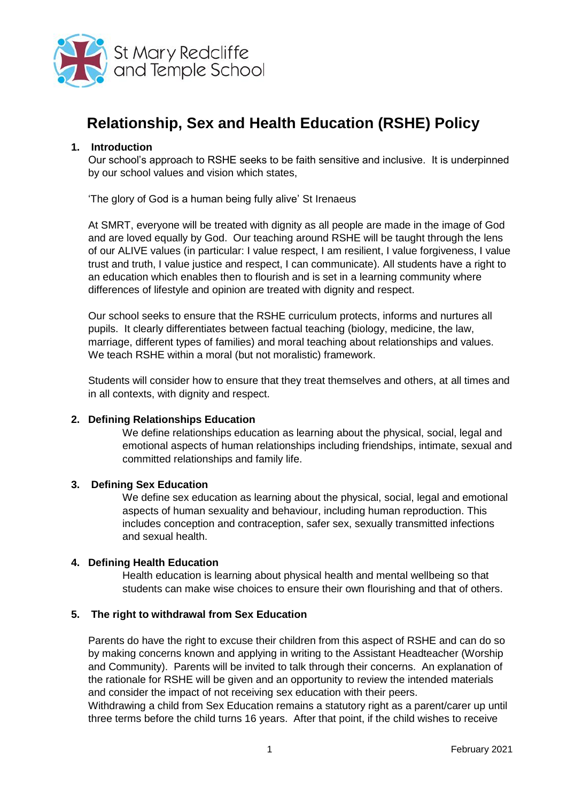

# **Relationship, Sex and Health Education (RSHE) Policy**

#### **1. Introduction**

Our school's approach to RSHE seeks to be faith sensitive and inclusive. It is underpinned by our school values and vision which states,

'The glory of God is a human being fully alive' St Irenaeus

At SMRT, everyone will be treated with dignity as all people are made in the image of God and are loved equally by God. Our teaching around RSHE will be taught through the lens of our ALIVE values (in particular: I value respect, I am resilient, I value forgiveness, I value trust and truth, I value justice and respect, I can communicate). All students have a right to an education which enables then to flourish and is set in a learning community where differences of lifestyle and opinion are treated with dignity and respect.

Our school seeks to ensure that the RSHE curriculum protects, informs and nurtures all pupils. It clearly differentiates between factual teaching (biology, medicine, the law, marriage, different types of families) and moral teaching about relationships and values. We teach RSHE within a moral (but not moralistic) framework.

Students will consider how to ensure that they treat themselves and others, at all times and in all contexts, with dignity and respect.

#### **2. Defining Relationships Education**

We define relationships education as learning about the physical, social, legal and emotional aspects of human relationships including friendships, intimate, sexual and committed relationships and family life.

#### **3. Defining Sex Education**

We define sex education as learning about the physical, social, legal and emotional aspects of human sexuality and behaviour, including human reproduction. This includes conception and contraception, safer sex, sexually transmitted infections and sexual health.

#### **4. Defining Health Education**

Health education is learning about physical health and mental wellbeing so that students can make wise choices to ensure their own flourishing and that of others.

#### **5. The right to withdrawal from Sex Education**

Parents do have the right to excuse their children from this aspect of RSHE and can do so by making concerns known and applying in writing to the Assistant Headteacher (Worship and Community). Parents will be invited to talk through their concerns. An explanation of the rationale for RSHE will be given and an opportunity to review the intended materials and consider the impact of not receiving sex education with their peers.

Withdrawing a child from Sex Education remains a statutory right as a parent/carer up until three terms before the child turns 16 years. After that point, if the child wishes to receive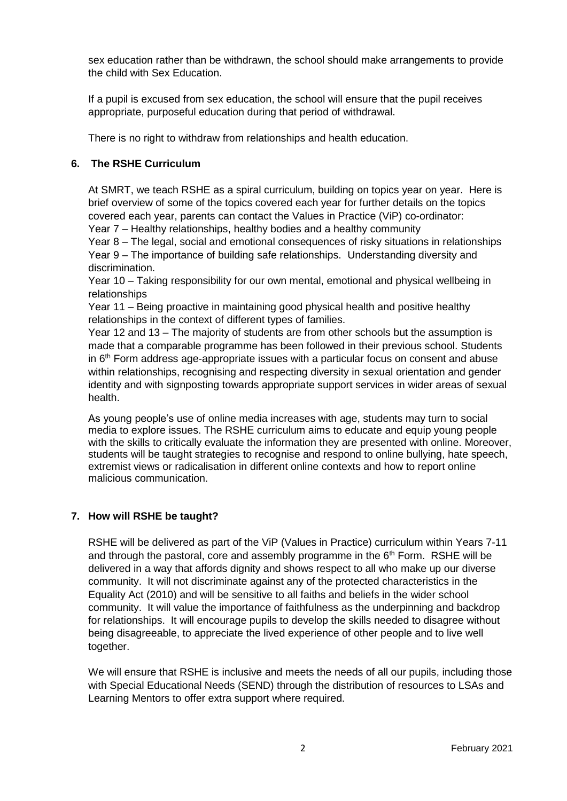sex education rather than be withdrawn, the school should make arrangements to provide the child with Sex Education.

If a pupil is excused from sex education, the school will ensure that the pupil receives appropriate, purposeful education during that period of withdrawal.

There is no right to withdraw from relationships and health education.

## **6. The RSHE Curriculum**

At SMRT, we teach RSHE as a spiral curriculum, building on topics year on year. Here is brief overview of some of the topics covered each year for further details on the topics covered each year, parents can contact the Values in Practice (ViP) co-ordinator: Year 7 – Healthy relationships, healthy bodies and a healthy community

Year 8 – The legal, social and emotional consequences of risky situations in relationships Year 9 – The importance of building safe relationships. Understanding diversity and discrimination.

Year 10 – Taking responsibility for our own mental, emotional and physical wellbeing in relationships

Year 11 – Being proactive in maintaining good physical health and positive healthy relationships in the context of different types of families.

Year 12 and 13 – The majority of students are from other schools but the assumption is made that a comparable programme has been followed in their previous school. Students in  $6<sup>th</sup>$  Form address age-appropriate issues with a particular focus on consent and abuse within relationships, recognising and respecting diversity in sexual orientation and gender identity and with signposting towards appropriate support services in wider areas of sexual health.

As young people's use of online media increases with age, students may turn to social media to explore issues. The RSHE curriculum aims to educate and equip young people with the skills to critically evaluate the information they are presented with online. Moreover, students will be taught strategies to recognise and respond to online bullying, hate speech, extremist views or radicalisation in different online contexts and how to report online malicious communication.

## **7. How will RSHE be taught?**

RSHE will be delivered as part of the ViP (Values in Practice) curriculum within Years 7-11 and through the pastoral, core and assembly programme in the  $6<sup>th</sup>$  Form. RSHE will be delivered in a way that affords dignity and shows respect to all who make up our diverse community. It will not discriminate against any of the protected characteristics in the Equality Act (2010) and will be sensitive to all faiths and beliefs in the wider school community. It will value the importance of faithfulness as the underpinning and backdrop for relationships. It will encourage pupils to develop the skills needed to disagree without being disagreeable, to appreciate the lived experience of other people and to live well together.

We will ensure that RSHE is inclusive and meets the needs of all our pupils, including those with Special Educational Needs (SEND) through the distribution of resources to LSAs and Learning Mentors to offer extra support where required.